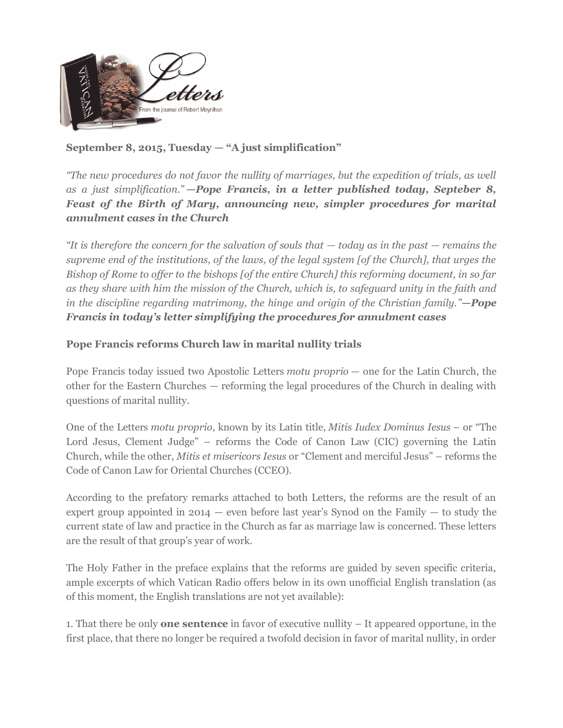

# **September 8, 2015, Tuesday — "A just simplification"**

*"The new procedures do not favor the nullity of marriages, but the expedition of trials, as well as a just simplification." —Pope Francis, in a letter published today, Septeber 8, Feast of the Birth of Mary, announcing new, simpler procedures for marital annulment cases in the Church*

*"It is therefore the concern for the salvation of souls that — today as in the past — remains the supreme end of the institutions, of the laws, of the legal system [of the Church], that urges the Bishop of Rome to offer to the bishops [of the entire Church] this reforming document, in so far as they share with him the mission of the Church, which is, to safeguard unity in the faith and in the discipline regarding matrimony, the hinge and origin of the Christian family."—Pope Francis in today's letter simplifying the procedures for annulment cases*

## **Pope Francis reforms Church law in marital nullity trials**

Pope Francis today issued two Apostolic Letters *motu proprio* — one for the Latin Church, the other for the Eastern Churches — reforming the legal procedures of the Church in dealing with questions of marital nullity.

One of the Letters *motu proprio*, known by its Latin title, *Mitis Iudex Dominus Iesus* – or "The Lord Jesus, Clement Judge" – reforms the Code of Canon Law (CIC) governing the Latin Church, while the other, *Mitis et misericors Iesus* or "Clement and merciful Jesus" – reforms the Code of Canon Law for Oriental Churches (CCEO).

According to the prefatory remarks attached to both Letters, the reforms are the result of an expert group appointed in  $2014$  — even before last year's Synod on the Family — to study the current state of law and practice in the Church as far as marriage law is concerned. These letters are the result of that group's year of work.

The Holy Father in the preface explains that the reforms are guided by seven specific criteria, ample excerpts of which Vatican Radio offers below in its own unofficial English translation (as of this moment, the English translations are not yet available):

1. That there be only **one sentence** in favor of executive nullity – It appeared opportune, in the first place, that there no longer be required a twofold decision in favor of marital nullity, in order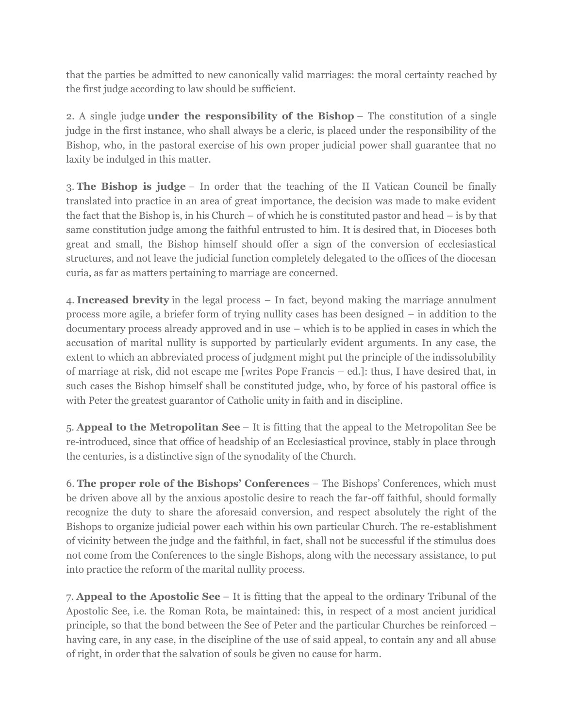that the parties be admitted to new canonically valid marriages: the moral certainty reached by the first judge according to law should be sufficient.

2. A single judge **under the responsibility of the Bishop** – The constitution of a single judge in the first instance, who shall always be a cleric, is placed under the responsibility of the Bishop, who, in the pastoral exercise of his own proper judicial power shall guarantee that no laxity be indulged in this matter.

3. **The Bishop is judge** – In order that the teaching of the II Vatican Council be finally translated into practice in an area of great importance, the decision was made to make evident the fact that the Bishop is, in his Church – of which he is constituted pastor and head – is by that same constitution judge among the faithful entrusted to him. It is desired that, in Dioceses both great and small, the Bishop himself should offer a sign of the conversion of ecclesiastical structures, and not leave the judicial function completely delegated to the offices of the diocesan curia, as far as matters pertaining to marriage are concerned.

4. **Increased brevity** in the legal process – In fact, beyond making the marriage annulment process more agile, a briefer form of trying nullity cases has been designed – in addition to the documentary process already approved and in use – which is to be applied in cases in which the accusation of marital nullity is supported by particularly evident arguments. In any case, the extent to which an abbreviated process of judgment might put the principle of the indissolubility of marriage at risk, did not escape me [writes Pope Francis – ed.]: thus, I have desired that, in such cases the Bishop himself shall be constituted judge, who, by force of his pastoral office is with Peter the greatest guarantor of Catholic unity in faith and in discipline.

5. **Appeal to the Metropolitan See** – It is fitting that the appeal to the Metropolitan See be re-introduced, since that office of headship of an Ecclesiastical province, stably in place through the centuries, is a distinctive sign of the synodality of the Church.

6. **The proper role of the Bishops' Conferences** – The Bishops' Conferences, which must be driven above all by the anxious apostolic desire to reach the far-off faithful, should formally recognize the duty to share the aforesaid conversion, and respect absolutely the right of the Bishops to organize judicial power each within his own particular Church. The re-establishment of vicinity between the judge and the faithful, in fact, shall not be successful if the stimulus does not come from the Conferences to the single Bishops, along with the necessary assistance, to put into practice the reform of the marital nullity process.

7. **Appeal to the Apostolic See** – It is fitting that the appeal to the ordinary Tribunal of the Apostolic See, i.e. the Roman Rota, be maintained: this, in respect of a most ancient juridical principle, so that the bond between the See of Peter and the particular Churches be reinforced – having care, in any case, in the discipline of the use of said appeal, to contain any and all abuse of right, in order that the salvation of souls be given no cause for harm.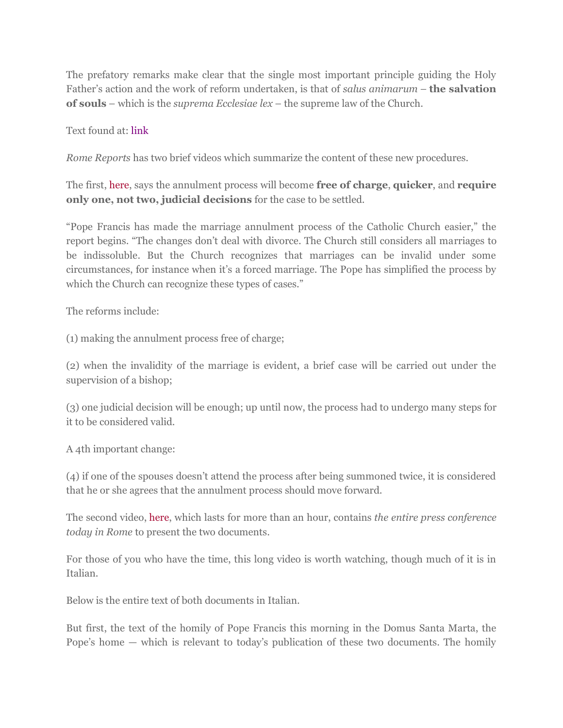The prefatory remarks make clear that the single most important principle guiding the Holy Father's action and the work of reform undertaken, is that of *salus animarum* – **the salvation of souls** – which is the *suprema Ecclesiae lex* – the supreme law of the Church.

#### Text found at: [link](http://en.radiovaticana.va/news/2015/09/08/pope_francis_reforms_church_law_in_marital_nullity_trials/1170336)

*Rome Reports* has two brief videos which summarize the content of these new procedures.

The first, [here,](http://www.romereports.com/2015/09/08/pope-marriage-annulment-process-is-free) says the annulment process will become **free of charge**, **quicker**, and **require only one, not two, judicial decisions** for the case to be settled.

"Pope Francis has made the marriage annulment process of the Catholic Church easier," the report begins. "The changes don't deal with divorce. The Church still considers all marriages to be indissoluble. But the Church recognizes that marriages can be invalid under some circumstances, for instance when it's a forced marriage. The Pope has simplified the process by which the Church can recognize these types of cases."

The reforms include:

(1) making the annulment process free of charge;

(2) when the invalidity of the marriage is evident, a brief case will be carried out under the supervision of a bishop;

(3) one judicial decision will be enough; up until now, the process had to undergo many steps for it to be considered valid.

A 4th important change:

(4) if one of the spouses doesn't attend the process after being summoned twice, it is considered that he or she agrees that the annulment process should move forward.

The second video, [here,](http://www.romereports.com/2015/09/08/live-vatican-announces-reforms-to-marriage-annulment-process) which lasts for more than an hour, contains *the entire press conference today in Rome* to present the two documents.

For those of you who have the time, this long video is worth watching, though much of it is in Italian.

Below is the entire text of both documents in Italian.

But first, the text of the homily of Pope Francis this morning in the Domus Santa Marta, the Pope's home — which is relevant to today's publication of these two documents. The homily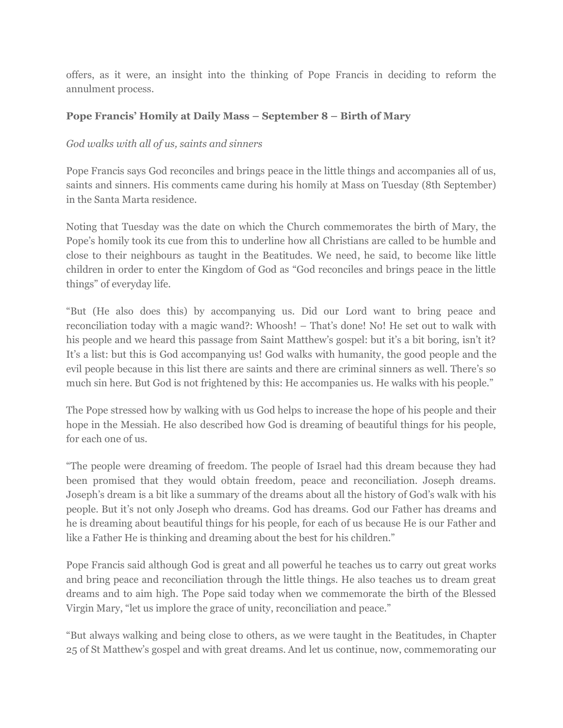offers, as it were, an insight into the thinking of Pope Francis in deciding to reform the annulment process.

## **Pope Francis' Homily at Daily Mass – September 8 – Birth of Mary**

### *God walks with all of us, saints and sinners*

Pope Francis says God reconciles and brings peace in the little things and accompanies all of us, saints and sinners. His comments came during his homily at Mass on Tuesday (8th September) in the Santa Marta residence.

Noting that Tuesday was the date on which the Church commemorates the birth of Mary, the Pope's homily took its cue from this to underline how all Christians are called to be humble and close to their neighbours as taught in the Beatitudes. We need, he said, to become like little children in order to enter the Kingdom of God as "God reconciles and brings peace in the little things" of everyday life.

"But (He also does this) by accompanying us. Did our Lord want to bring peace and reconciliation today with a magic wand?: Whoosh! – That's done! No! He set out to walk with his people and we heard this passage from Saint Matthew's gospel: but it's a bit boring, isn't it? It's a list: but this is God accompanying us! God walks with humanity, the good people and the evil people because in this list there are saints and there are criminal sinners as well. There's so much sin here. But God is not frightened by this: He accompanies us. He walks with his people."

The Pope stressed how by walking with us God helps to increase the hope of his people and their hope in the Messiah. He also described how God is dreaming of beautiful things for his people, for each one of us.

"The people were dreaming of freedom. The people of Israel had this dream because they had been promised that they would obtain freedom, peace and reconciliation. Joseph dreams. Joseph's dream is a bit like a summary of the dreams about all the history of God's walk with his people. But it's not only Joseph who dreams. God has dreams. God our Father has dreams and he is dreaming about beautiful things for his people, for each of us because He is our Father and like a Father He is thinking and dreaming about the best for his children."

Pope Francis said although God is great and all powerful he teaches us to carry out great works and bring peace and reconciliation through the little things. He also teaches us to dream great dreams and to aim high. The Pope said today when we commemorate the birth of the Blessed Virgin Mary, "let us implore the grace of unity, reconciliation and peace."

"But always walking and being close to others, as we were taught in the Beatitudes, in Chapter 25 of St Matthew's gospel and with great dreams. And let us continue, now, commemorating our